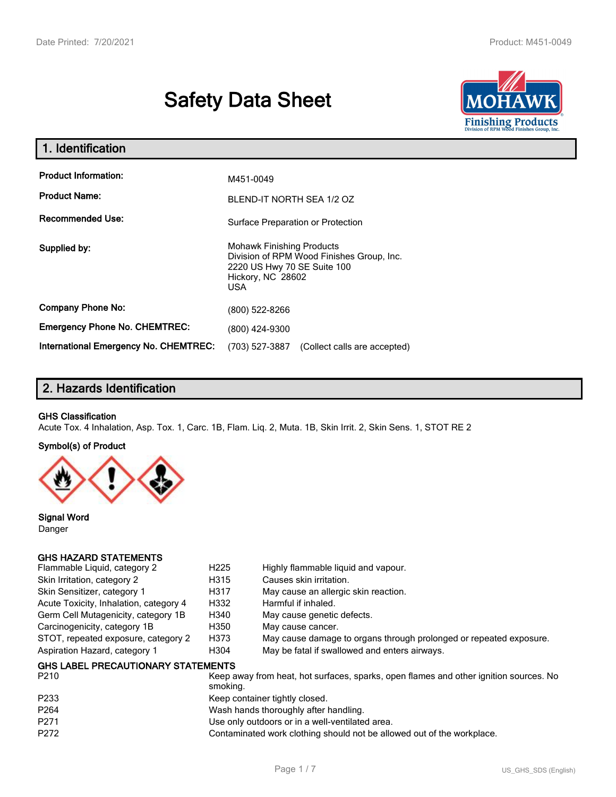# **Safety Data Sheet**



| 1. Identification                                   |                                                                                                                                                 |
|-----------------------------------------------------|-------------------------------------------------------------------------------------------------------------------------------------------------|
| <b>Product Information:</b><br><b>Product Name:</b> | M451-0049<br>BLEND-IT NORTH SEA 1/2 OZ                                                                                                          |
| <b>Recommended Use:</b>                             | Surface Preparation or Protection                                                                                                               |
| Supplied by:                                        | <b>Mohawk Finishing Products</b><br>Division of RPM Wood Finishes Group, Inc.<br>2220 US Hwy 70 SE Suite 100<br>Hickory, NC 28602<br><b>USA</b> |
| <b>Company Phone No:</b>                            | (800) 522-8266                                                                                                                                  |
| <b>Emergency Phone No. CHEMTREC:</b>                | (800) 424-9300                                                                                                                                  |
| <b>International Emergency No. CHEMTREC:</b>        | (703) 527-3887<br>(Collect calls are accepted)                                                                                                  |

# **2. Hazards Identification**

## **GHS Classification**

Acute Tox. 4 Inhalation, Asp. Tox. 1, Carc. 1B, Flam. Liq. 2, Muta. 1B, Skin Irrit. 2, Skin Sens. 1, STOT RE 2

#### **Symbol(s) of Product**



**Signal Word** Danger

## **GHS HAZARD STATEMENTS**

| Flammable Liquid, category 2              | H <sub>225</sub> | Highly flammable liquid and vapour.                                                   |
|-------------------------------------------|------------------|---------------------------------------------------------------------------------------|
| Skin Irritation, category 2               | H315             | Causes skin irritation.                                                               |
| Skin Sensitizer, category 1               | H317             | May cause an allergic skin reaction.                                                  |
| Acute Toxicity, Inhalation, category 4    | H332             | Harmful if inhaled.                                                                   |
| Germ Cell Mutagenicity, category 1B       | H340             | May cause genetic defects.                                                            |
| Carcinogenicity, category 1B              | H350             | May cause cancer.                                                                     |
| STOT, repeated exposure, category 2       | H373             | May cause damage to organs through prolonged or repeated exposure.                    |
| Aspiration Hazard, category 1             | H <sub>304</sub> | May be fatal if swallowed and enters airways.                                         |
| <b>GHS LABEL PRECAUTIONARY STATEMENTS</b> |                  |                                                                                       |
| P210                                      |                  | Keep away from heat, hot surfaces, sparks, open flames and other ignition sources. No |

| <b>PZIU</b>      | Reep away from neat, not surfaces, sparks, open flames and other ignition sources. No<br>smoking. |
|------------------|---------------------------------------------------------------------------------------------------|
| P233             | Keep container tightly closed.                                                                    |
| P <sub>264</sub> | Wash hands thoroughly after handling.                                                             |
| P271             | Use only outdoors or in a well-ventilated area.                                                   |
| P272             | Contaminated work clothing should not be allowed out of the workplace.                            |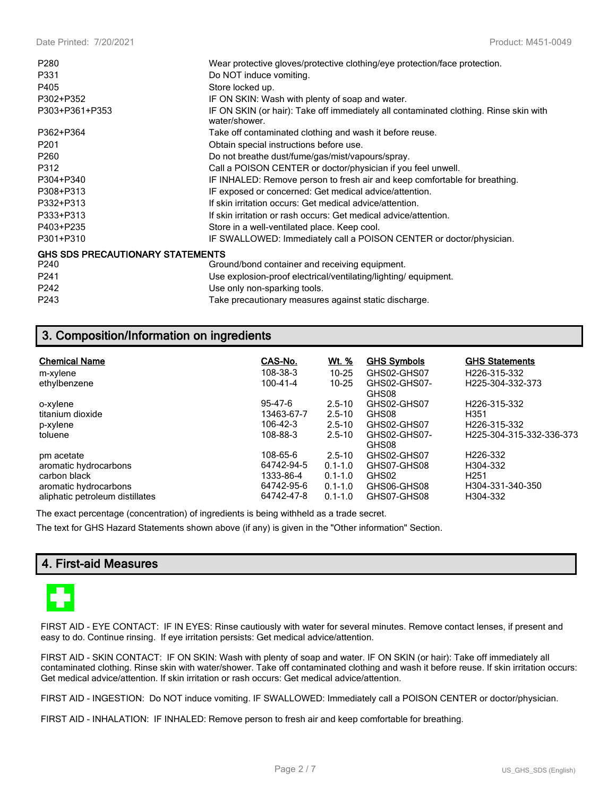| P280                                    | Wear protective gloves/protective clothing/eye protection/face protection.                             |
|-----------------------------------------|--------------------------------------------------------------------------------------------------------|
| P331                                    | Do NOT induce vomiting.                                                                                |
|                                         |                                                                                                        |
| P405                                    | Store locked up.                                                                                       |
| P302+P352                               | IF ON SKIN: Wash with plenty of soap and water.                                                        |
| P303+P361+P353                          | IF ON SKIN (or hair): Take off immediately all contaminated clothing. Rinse skin with<br>water/shower. |
| P362+P364                               | Take off contaminated clothing and wash it before reuse.                                               |
| P <sub>201</sub>                        | Obtain special instructions before use.                                                                |
| P <sub>260</sub>                        | Do not breathe dust/fume/gas/mist/vapours/spray.                                                       |
| P312                                    | Call a POISON CENTER or doctor/physician if you feel unwell.                                           |
| P304+P340                               | IF INHALED: Remove person to fresh air and keep comfortable for breathing.                             |
| P308+P313                               | IF exposed or concerned: Get medical advice/attention.                                                 |
| P332+P313                               | If skin irritation occurs: Get medical advice/attention.                                               |
| P333+P313                               | If skin irritation or rash occurs: Get medical advice/attention.                                       |
| P403+P235                               | Store in a well-ventilated place. Keep cool.                                                           |
| P301+P310                               | IF SWALLOWED: Immediately call a POISON CENTER or doctor/physician.                                    |
| <b>GHS SDS PRECAUTIONARY STATEMENTS</b> |                                                                                                        |
| P <sub>240</sub>                        | Ground/bond container and receiving equipment.                                                         |
| P <sub>241</sub>                        | Use explosion-proof electrical/ventilating/lighting/equipment.                                         |
| P242                                    | Use only non-sparking tools.                                                                           |
| P243                                    | Take precautionary measures against static discharge.                                                  |

# **3. Composition/Information on ingredients**

| <b>Chemical Name</b>            | CAS-No.    | <u>Wt. %</u> | <b>GHS Symbols</b>    | <b>GHS Statements</b>     |
|---------------------------------|------------|--------------|-----------------------|---------------------------|
| m-xylene                        | 108-38-3   | $10 - 25$    | GHS02-GHS07           | H226-315-332              |
| ethylbenzene                    | 100-41-4   | $10 - 25$    | GHS02-GHS07-<br>GHS08 | H225-304-332-373          |
| o-xylene                        | 95-47-6    | $2.5 - 10$   | GHS02-GHS07           | H <sub>226</sub> -315-332 |
| titanium dioxide                | 13463-67-7 | $2.5 - 10$   | GHS08                 | H351                      |
| p-xylene                        | 106-42-3   | $2.5 - 10$   | GHS02-GHS07           | H226-315-332              |
| toluene                         | 108-88-3   | $2.5 - 10$   | GHS02-GHS07-<br>GHS08 | H225-304-315-332-336-373  |
| pm acetate                      | 108-65-6   | $2.5 - 10$   | GHS02-GHS07           | H <sub>226</sub> -332     |
| aromatic hydrocarbons           | 64742-94-5 | $0.1 - 1.0$  | GHS07-GHS08           | H304-332                  |
| carbon black                    | 1333-86-4  | $0.1 - 1.0$  | GHS02                 | H <sub>251</sub>          |
| aromatic hydrocarbons           | 64742-95-6 | $0.1 - 1.0$  | GHS06-GHS08           | H304-331-340-350          |
| aliphatic petroleum distillates | 64742-47-8 | $0.1 - 1.0$  | GHS07-GHS08           | H304-332                  |

The exact percentage (concentration) of ingredients is being withheld as a trade secret.

The text for GHS Hazard Statements shown above (if any) is given in the "Other information" Section.

# **4. First-aid Measures**



FIRST AID - EYE CONTACT: IF IN EYES: Rinse cautiously with water for several minutes. Remove contact lenses, if present and easy to do. Continue rinsing. If eye irritation persists: Get medical advice/attention.

FIRST AID - SKIN CONTACT: IF ON SKIN: Wash with plenty of soap and water. IF ON SKIN (or hair): Take off immediately all contaminated clothing. Rinse skin with water/shower. Take off contaminated clothing and wash it before reuse. If skin irritation occurs: Get medical advice/attention. If skin irritation or rash occurs: Get medical advice/attention.

FIRST AID - INGESTION: Do NOT induce vomiting. IF SWALLOWED: Immediately call a POISON CENTER or doctor/physician.

FIRST AID - INHALATION: IF INHALED: Remove person to fresh air and keep comfortable for breathing.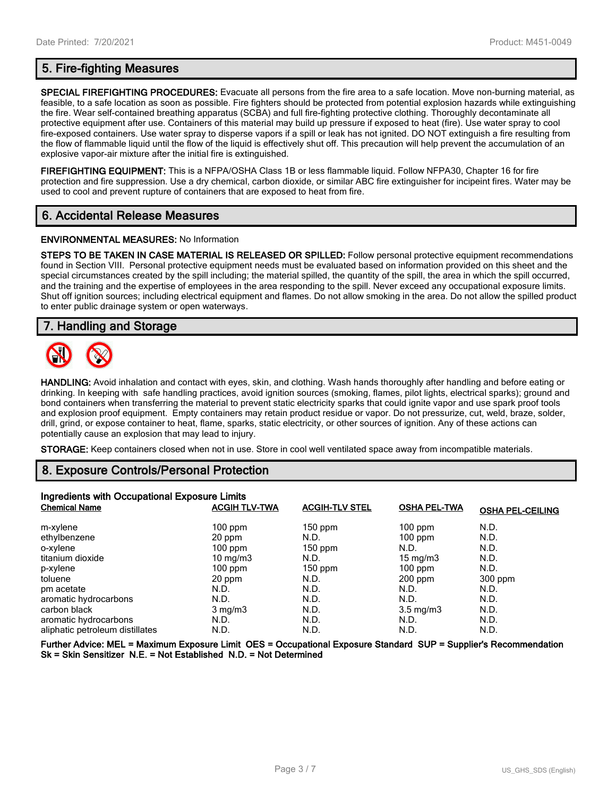**SPECIAL FIREFIGHTING PROCEDURES:** Evacuate all persons from the fire area to a safe location. Move non-burning material, as feasible, to a safe location as soon as possible. Fire fighters should be protected from potential explosion hazards while extinguishing the fire. Wear self-contained breathing apparatus (SCBA) and full fire-fighting protective clothing. Thoroughly decontaminate all protective equipment after use. Containers of this material may build up pressure if exposed to heat (fire). Use water spray to cool fire-exposed containers. Use water spray to disperse vapors if a spill or leak has not ignited. DO NOT extinguish a fire resulting from the flow of flammable liquid until the flow of the liquid is effectively shut off. This precaution will help prevent the accumulation of an explosive vapor-air mixture after the initial fire is extinguished.

**FIREFIGHTING EQUIPMENT:** This is a NFPA/OSHA Class 1B or less flammable liquid. Follow NFPA30, Chapter 16 for fire protection and fire suppression. Use a dry chemical, carbon dioxide, or similar ABC fire extinguisher for incipeint fires. Water may be used to cool and prevent rupture of containers that are exposed to heat from fire.

# **6. Accidental Release Measures**

#### **ENVIRONMENTAL MEASURES:** No Information

**STEPS TO BE TAKEN IN CASE MATERIAL IS RELEASED OR SPILLED:** Follow personal protective equipment recommendations found in Section VIII. Personal protective equipment needs must be evaluated based on information provided on this sheet and the special circumstances created by the spill including; the material spilled, the quantity of the spill, the area in which the spill occurred, and the training and the expertise of employees in the area responding to the spill. Never exceed any occupational exposure limits. Shut off ignition sources; including electrical equipment and flames. Do not allow smoking in the area. Do not allow the spilled product to enter public drainage system or open waterways.

# **7. Handling and Storage**



**HANDLING:** Avoid inhalation and contact with eyes, skin, and clothing. Wash hands thoroughly after handling and before eating or drinking. In keeping with safe handling practices, avoid ignition sources (smoking, flames, pilot lights, electrical sparks); ground and bond containers when transferring the material to prevent static electricity sparks that could ignite vapor and use spark proof tools and explosion proof equipment. Empty containers may retain product residue or vapor. Do not pressurize, cut, weld, braze, solder, drill, grind, or expose container to heat, flame, sparks, static electricity, or other sources of ignition. Any of these actions can potentially cause an explosion that may lead to injury.

**STORAGE:** Keep containers closed when not in use. Store in cool well ventilated space away from incompatible materials.

# **8. Exposure Controls/Personal Protection**

| Ingredients with Occupational Exposure Limits |                      |                       |                     |                         |  |
|-----------------------------------------------|----------------------|-----------------------|---------------------|-------------------------|--|
| <b>Chemical Name</b>                          | <b>ACGIH TLV-TWA</b> | <b>ACGIH-TLV STEL</b> | <b>OSHA PEL-TWA</b> | <b>OSHA PEL-CEILING</b> |  |
| m-xylene                                      | $100$ ppm            | $150$ ppm             | $100$ ppm           | N.D.                    |  |
| ethylbenzene                                  | 20 ppm               | N.D.                  | $100$ ppm           | N.D.                    |  |
| o-xylene                                      | $100$ ppm            | $150$ ppm             | N.D.                | N.D.                    |  |
| titanium dioxide                              | 10 mg/m $3$          | N.D.                  | 15 mg/m $3$         | N.D.                    |  |
| p-xylene                                      | $100$ ppm            | 150 ppm               | $100$ ppm           | N.D.                    |  |
| toluene                                       | 20 ppm               | N.D.                  | $200$ ppm           | 300 ppm                 |  |
| pm acetate                                    | N.D.                 | N.D.                  | N.D.                | N.D.                    |  |
| aromatic hydrocarbons                         | N.D.                 | N.D.                  | N.D.                | N.D.                    |  |
| carbon black                                  | $3 \text{ mg/m}$     | N.D.                  | $3.5 \text{ mg/m}$  | N.D.                    |  |
| aromatic hydrocarbons                         | N.D.                 | N.D.                  | N.D.                | N.D.                    |  |
| aliphatic petroleum distillates               | N.D.                 | N.D.                  | N.D.                | N.D.                    |  |

**Further Advice: MEL = Maximum Exposure Limit OES = Occupational Exposure Standard SUP = Supplier's Recommendation Sk = Skin Sensitizer N.E. = Not Established N.D. = Not Determined**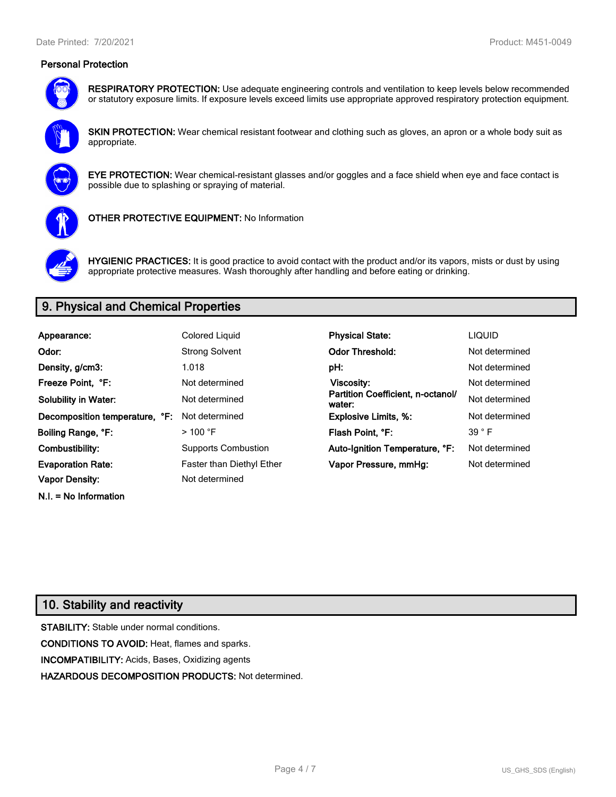## **Personal Protection**



**RESPIRATORY PROTECTION:** Use adequate engineering controls and ventilation to keep levels below recommended or statutory exposure limits. If exposure levels exceed limits use appropriate approved respiratory protection equipment.

**SKIN PROTECTION:** Wear chemical resistant footwear and clothing such as gloves, an apron or a whole body suit as appropriate.



**EYE PROTECTION:** Wear chemical-resistant glasses and/or goggles and a face shield when eye and face contact is possible due to splashing or spraying of material.



**OTHER PROTECTIVE EQUIPMENT:** No Information



**HYGIENIC PRACTICES:** It is good practice to avoid contact with the product and/or its vapors, mists or dust by using appropriate protective measures. Wash thoroughly after handling and before eating or drinking.

# **9. Physical and Chemical Properties**

| Colored Liquid                   | <b>Physical State:</b>                      | <b>LIQUID</b>  |
|----------------------------------|---------------------------------------------|----------------|
| <b>Strong Solvent</b>            | <b>Odor Threshold:</b>                      | Not determined |
| 1.018                            | pH:                                         | Not determined |
| Not determined                   | Viscosity:                                  | Not determined |
| Not determined                   | Partition Coefficient, n-octanol/<br>water: | Not determined |
| Not determined                   | <b>Explosive Limits, %:</b>                 | Not determined |
| $>100$ °F                        | Flash Point, °F:                            | $39°$ F        |
| <b>Supports Combustion</b>       | Auto-Ignition Temperature, °F:              | Not determined |
| <b>Faster than Diethyl Ether</b> | Vapor Pressure, mmHg:                       | Not determined |
| Not determined                   |                                             |                |
|                                  | Decomposition temperature, °F:              |                |

# **10. Stability and reactivity**

**N.I. = No Information**

**STABILITY:** Stable under normal conditions. **CONDITIONS TO AVOID:** Heat, flames and sparks. **INCOMPATIBILITY:** Acids, Bases, Oxidizing agents **HAZARDOUS DECOMPOSITION PRODUCTS:** Not determined.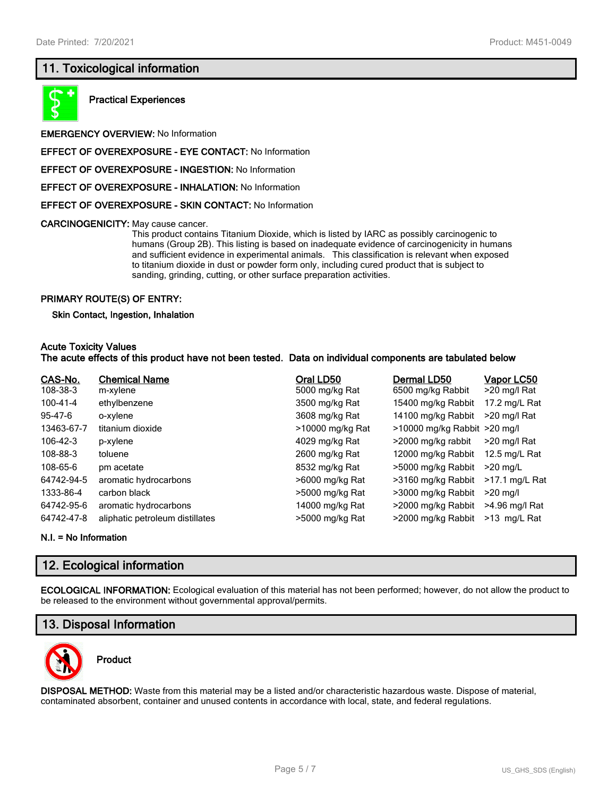# **11. Toxicological information**



**Practical Experiences**

**EMERGENCY OVERVIEW:** No Information

**EFFECT OF OVEREXPOSURE - EYE CONTACT:** No Information

**EFFECT OF OVEREXPOSURE - INGESTION:** No Information

**EFFECT OF OVEREXPOSURE - INHALATION:** No Information

**EFFECT OF OVEREXPOSURE - SKIN CONTACT:** No Information

**CARCINOGENICITY:** May cause cancer.

This product contains Titanium Dioxide, which is listed by IARC as possibly carcinogenic to humans (Group 2B). This listing is based on inadequate evidence of carcinogenicity in humans and sufficient evidence in experimental animals. This classification is relevant when exposed to titanium dioxide in dust or powder form only, including cured product that is subject to sanding, grinding, cutting, or other surface preparation activities.

#### **PRIMARY ROUTE(S) OF ENTRY:**

#### **Skin Contact, Ingestion, Inhalation**

#### **Acute Toxicity Values**

#### **The acute effects of this product have not been tested. Data on individual components are tabulated below**

| CAS-No.       | <b>Chemical Name</b>            | Oral LD50        | Dermal LD50                  | Vapor LC50       |
|---------------|---------------------------------|------------------|------------------------------|------------------|
| 108-38-3      | m-xylene                        | 5000 mg/kg Rat   | 6500 mg/kg Rabbit            | >20 mg/l Rat     |
| 100-41-4      | ethylbenzene                    | 3500 mg/kg Rat   | 15400 mg/kg Rabbit           | 17.2 mg/L Rat    |
| $95 - 47 - 6$ | o-xylene                        | 3608 mg/kg Rat   | 14100 mg/kg Rabbit           | >20 mg/l Rat     |
| 13463-67-7    | titanium dioxide                | >10000 mg/kg Rat | >10000 mg/kg Rabbit >20 mg/l |                  |
| 106-42-3      | p-xylene                        | 4029 mg/kg Rat   | >2000 mg/kg rabbit           | >20 mg/l Rat     |
| 108-88-3      | toluene                         | 2600 mg/kg Rat   | 12000 mg/kg Rabbit           | 12.5 mg/L Rat    |
| 108-65-6      | pm acetate                      | 8532 mg/kg Rat   | >5000 mg/kg Rabbit           | $>20$ mg/L       |
| 64742-94-5    | aromatic hydrocarbons           | >6000 mg/kg Rat  | >3160 mg/kg Rabbit           | $>17.1$ mg/L Rat |
| 1333-86-4     | carbon black                    | >5000 mg/kg Rat  | >3000 mg/kg Rabbit           | $>20$ mg/l       |
| 64742-95-6    | aromatic hydrocarbons           | 14000 mg/kg Rat  | >2000 mg/kg Rabbit           | >4.96 mg/l Rat   |
| 64742-47-8    | aliphatic petroleum distillates | >5000 mg/kg Rat  | >2000 mg/kg Rabbit           | >13 mg/L Rat     |

**N.I. = No Information**

# **12. Ecological information**

**ECOLOGICAL INFORMATION:** Ecological evaluation of this material has not been performed; however, do not allow the product to be released to the environment without governmental approval/permits.

# **13. Disposal Information**



# **Product**

**DISPOSAL METHOD:** Waste from this material may be a listed and/or characteristic hazardous waste. Dispose of material, contaminated absorbent, container and unused contents in accordance with local, state, and federal regulations.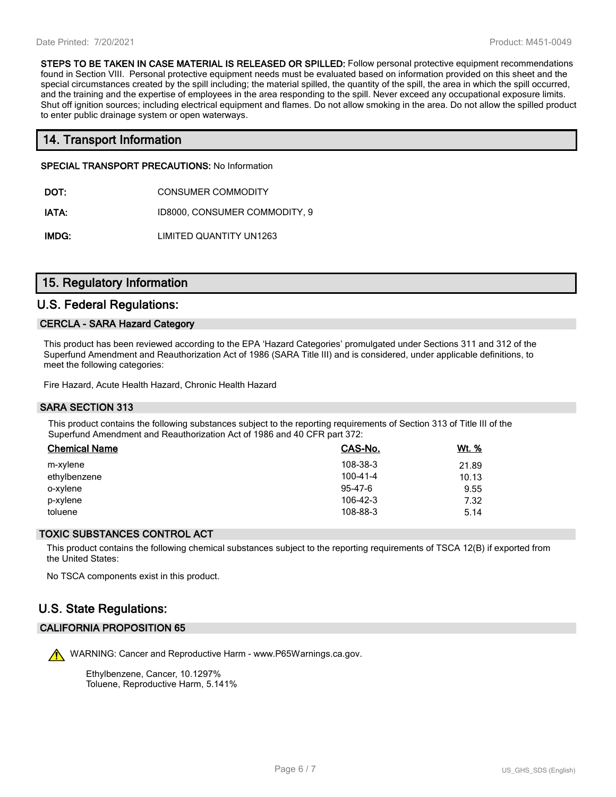**STEPS TO BE TAKEN IN CASE MATERIAL IS RELEASED OR SPILLED:** Follow personal protective equipment recommendations found in Section VIII. Personal protective equipment needs must be evaluated based on information provided on this sheet and the special circumstances created by the spill including; the material spilled, the quantity of the spill, the area in which the spill occurred, and the training and the expertise of employees in the area responding to the spill. Never exceed any occupational exposure limits. Shut off ignition sources; including electrical equipment and flames. Do not allow smoking in the area. Do not allow the spilled product to enter public drainage system or open waterways.

# **14. Transport Information**

**SPECIAL TRANSPORT PRECAUTIONS:** No Information

- **DOT:** CONSUMER COMMODITY
- **IATA:** ID8000, CONSUMER COMMODITY, 9

**IMDG:** LIMITED QUANTITY UN1263

# **15. Regulatory Information**

## **U.S. Federal Regulations:**

#### **CERCLA - SARA Hazard Category**

This product has been reviewed according to the EPA 'Hazard Categories' promulgated under Sections 311 and 312 of the Superfund Amendment and Reauthorization Act of 1986 (SARA Title III) and is considered, under applicable definitions, to meet the following categories:

Fire Hazard, Acute Health Hazard, Chronic Health Hazard

## **SARA SECTION 313**

This product contains the following substances subject to the reporting requirements of Section 313 of Title III of the Superfund Amendment and Reauthorization Act of 1986 and 40 CFR part 372:

| <b>Chemical Name</b> | CAS-No.        | <u>Wt. %</u> |
|----------------------|----------------|--------------|
| m-xylene             | 108-38-3       | 21.89        |
| ethylbenzene         | $100 - 41 - 4$ | 10.13        |
| o-xylene             | 95-47-6        | 9.55         |
| p-xylene             | 106-42-3       | 7.32         |
| toluene              | 108-88-3       | 5.14         |

#### **TOXIC SUBSTANCES CONTROL ACT**

This product contains the following chemical substances subject to the reporting requirements of TSCA 12(B) if exported from the United States:

No TSCA components exist in this product.

# **U.S. State Regulations:**

## **CALIFORNIA PROPOSITION 65**

WARNING: Cancer and Reproductive Harm - www.P65Warnings.ca.gov.

Ethylbenzene, Cancer, 10.1297% Toluene, Reproductive Harm, 5.141%